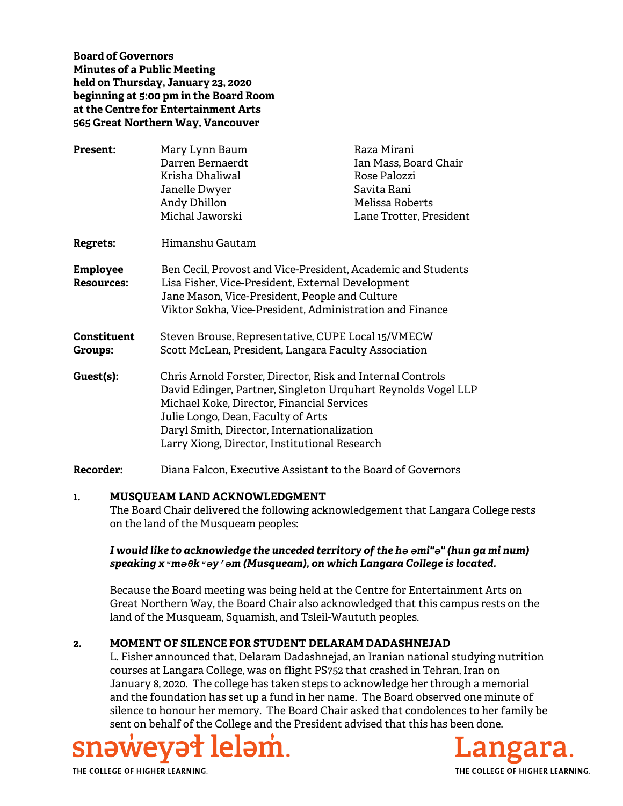**Board of Governors Minutes of a Public Meeting held on Thursday, January 23, 2020 beginning at 5:00 pm in the Board Room at the Centre for Entertainment Arts 565 Great Northern Way, Vancouver** 

| <b>Present:</b>                      | Mary Lynn Baum<br>Darren Bernaerdt<br>Krisha Dhaliwal<br>Janelle Dwyer<br>Andy Dhillon<br>Michal Jaworski                                                                                                                                                                                                       | Raza Mirani<br>Ian Mass, Board Chair<br>Rose Palozzi<br>Savita Rani<br>Melissa Roberts<br>Lane Trotter, President |
|--------------------------------------|-----------------------------------------------------------------------------------------------------------------------------------------------------------------------------------------------------------------------------------------------------------------------------------------------------------------|-------------------------------------------------------------------------------------------------------------------|
| <b>Regrets:</b>                      | Himanshu Gautam                                                                                                                                                                                                                                                                                                 |                                                                                                                   |
| <b>Employee</b><br><b>Resources:</b> | Ben Cecil, Provost and Vice-President, Academic and Students<br>Lisa Fisher, Vice-President, External Development<br>Jane Mason, Vice-President, People and Culture<br>Viktor Sokha, Vice-President, Administration and Finance                                                                                 |                                                                                                                   |
| <b>Constituent</b><br><b>Groups:</b> | Steven Brouse, Representative, CUPE Local 15/VMECW<br>Scott McLean, President, Langara Faculty Association                                                                                                                                                                                                      |                                                                                                                   |
| Guest(s):                            | Chris Arnold Forster, Director, Risk and Internal Controls<br>David Edinger, Partner, Singleton Urquhart Reynolds Vogel LLP<br>Michael Koke, Director, Financial Services<br>Julie Longo, Dean, Faculty of Arts<br>Daryl Smith, Director, Internationalization<br>Larry Xiong, Director, Institutional Research |                                                                                                                   |
| <b>Recorder:</b>                     | Diana Falcon, Executive Assistant to the Board of Governors                                                                                                                                                                                                                                                     |                                                                                                                   |

#### **1. MUSQUEAM LAND ACKNOWLEDGMENT**

The Board Chair delivered the following acknowledgement that Langara College rests on the land of the Musqueam peoples:

### *I would like to acknowledge the unceded territory of the hә әmi"ә" (hun ga mi num) speaking xʷmәθkʷәy̓әm (Musqueam), on which Langara College is located.*

Because the Board meeting was being held at the Centre for Entertainment Arts on Great Northern Way, the Board Chair also acknowledged that this campus rests on the land of the Musqueam, Squamish, and Tsleil-Waututh peoples.

## **2. MOMENT OF SILENCE FOR STUDENT DELARAM DADASHNEJAD**

L. Fisher announced that, Delaram Dadashnejad, an Iranian national studying nutrition courses at Langara College, was on flight PS752 that crashed in Tehran, Iran on January 8, 2020. The college has taken steps to acknowledge her through a memorial and the foundation has set up a fund in her name. The Board observed one minute of silence to honour her memory. The Board Chair asked that condolences to her family be sent on behalf of the College and the President advised that this has been done.



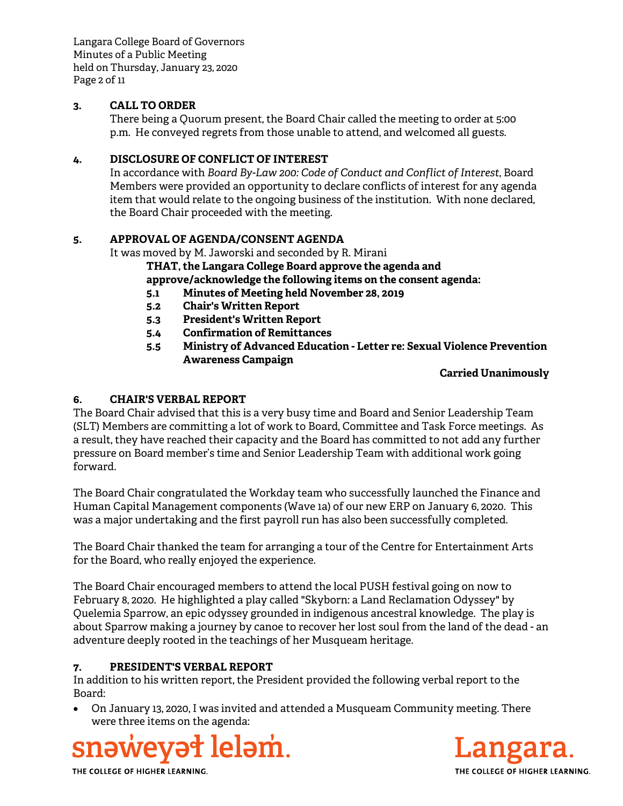Langara College Board of Governors Minutes of a Public Meeting held on Thursday, January 23, 2020 Page 2 of 11

# **3. CALL TO ORDER**

There being a Quorum present, the Board Chair called the meeting to order at 5:00 p.m. He conveyed regrets from those unable to attend, and welcomed all guests.

## **4. DISCLOSURE OF CONFLICT OF INTEREST**

In accordance with *Board By-Law 200: Code of Conduct and Conflict of Interest*, Board Members were provided an opportunity to declare conflicts of interest for any agenda item that would relate to the ongoing business of the institution. With none declared, the Board Chair proceeded with the meeting.

# **5. APPROVAL OF AGENDA/CONSENT AGENDA**

It was moved by M. Jaworski and seconded by R. Mirani

**THAT, the Langara College Board approve the agenda and approve/acknowledge the following items on the consent agenda:**

- **5.1 Minutes of Meeting held November 28, 2019**
- **5.2 Chair's Written Report**
- **5.3 President's Written Report**
- **5.4 Confirmation of Remittances**
- **5.5 Ministry of Advanced Education Letter re: Sexual Violence Prevention Awareness Campaign**

## **Carried Unanimously**

# **6. CHAIR'S VERBAL REPORT**

The Board Chair advised that this is a very busy time and Board and Senior Leadership Team (SLT) Members are committing a lot of work to Board, Committee and Task Force meetings. As a result, they have reached their capacity and the Board has committed to not add any further pressure on Board member's time and Senior Leadership Team with additional work going forward.

The Board Chair congratulated the Workday team who successfully launched the Finance and Human Capital Management components (Wave 1a) of our new ERP on January 6, 2020. This was a major undertaking and the first payroll run has also been successfully completed.

The Board Chair thanked the team for arranging a tour of the Centre for Entertainment Arts for the Board, who really enjoyed the experience.

The Board Chair encouraged members to attend the local PUSH festival going on now to February 8, 2020. He highlighted a play called "Skyborn: a Land Reclamation Odyssey" by Quelemia Sparrow, an epic odyssey grounded in indigenous ancestral knowledge. The play is about Sparrow making a journey by canoe to recover her lost soul from the land of the dead - an adventure deeply rooted in the teachings of her Musqueam heritage.

# **7. PRESIDENT'S VERBAL REPORT**

In addition to his written report, the President provided the following verbal report to the Board:

 On January 13, 2020, I was invited and attended a Musqueam Community meeting. There were three items on the agenda:





THE COLLEGE OF HIGHER LEARNING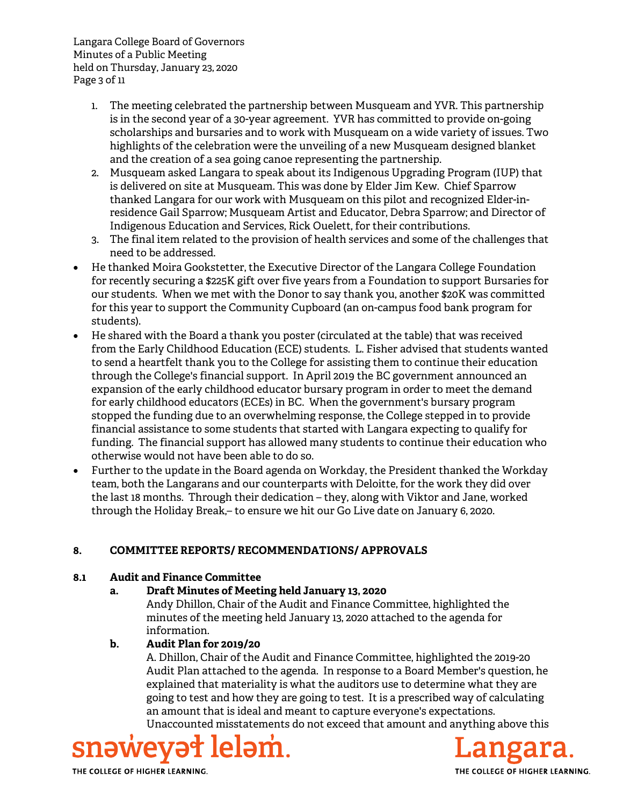Langara College Board of Governors Minutes of a Public Meeting held on Thursday, January 23, 2020 Page 3 of 11

- 1. The meeting celebrated the partnership between Musqueam and YVR. This partnership is in the second year of a 30-year agreement. YVR has committed to provide on-going scholarships and bursaries and to work with Musqueam on a wide variety of issues. Two highlights of the celebration were the unveiling of a new Musqueam designed blanket and the creation of a sea going canoe representing the partnership.
- 2. Musqueam asked Langara to speak about its Indigenous Upgrading Program (IUP) that is delivered on site at Musqueam. This was done by Elder Jim Kew. Chief Sparrow thanked Langara for our work with Musqueam on this pilot and recognized Elder-inresidence Gail Sparrow; Musqueam Artist and Educator, Debra Sparrow; and Director of Indigenous Education and Services, Rick Ouelett, for their contributions.
- 3. The final item related to the provision of health services and some of the challenges that need to be addressed.
- He thanked Moira Gookstetter, the Executive Director of the Langara College Foundation for recently securing a \$225K gift over five years from a Foundation to support Bursaries for our students. When we met with the Donor to say thank you, another \$20K was committed for this year to support the Community Cupboard (an on-campus food bank program for students).
- He shared with the Board a thank you poster (circulated at the table) that was received from the Early Childhood Education (ECE) students. L. Fisher advised that students wanted to send a heartfelt thank you to the College for assisting them to continue their education through the College's financial support. In April 2019 the BC government announced an expansion of the early childhood educator bursary program in order to meet the demand for early childhood educators (ECEs) in BC. When the government's bursary program stopped the funding due to an overwhelming response, the College stepped in to provide financial assistance to some students that started with Langara expecting to qualify for funding. The financial support has allowed many students to continue their education who otherwise would not have been able to do so.
- Further to the update in the Board agenda on Workday, the President thanked the Workday team, both the Langarans and our counterparts with Deloitte, for the work they did over the last 18 months. Through their dedication – they, along with Viktor and Jane, worked through the Holiday Break,– to ensure we hit our Go Live date on January 6, 2020.

# **8. COMMITTEE REPORTS/ RECOMMENDATIONS/ APPROVALS**

## **8.1 Audit and Finance Committee**

**a. Draft Minutes of Meeting held January 13, 2020**

Andy Dhillon, Chair of the Audit and Finance Committee, highlighted the minutes of the meeting held January 13, 2020 attached to the agenda for information.

# **b. Audit Plan for 2019/20**

A. Dhillon, Chair of the Audit and Finance Committee, highlighted the 2019-20 Audit Plan attached to the agenda. In response to a Board Member's question, he explained that materiality is what the auditors use to determine what they are going to test and how they are going to test. It is a prescribed way of calculating an amount that is ideal and meant to capture everyone's expectations. Unaccounted misstatements do not exceed that amount and anything above this





THE COLLEGE OF HIGHER LEARNING.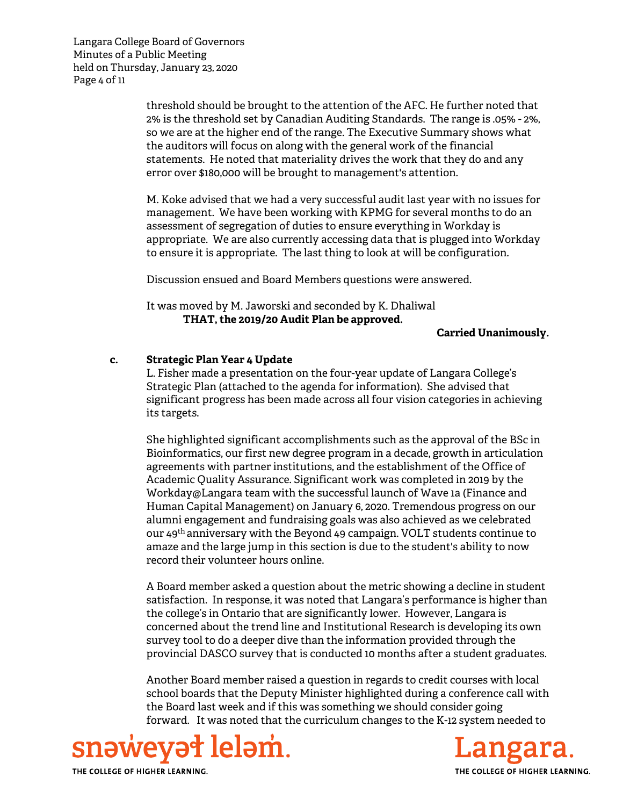Langara College Board of Governors Minutes of a Public Meeting held on Thursday, January 23, 2020 Page 4 of 11

> threshold should be brought to the attention of the AFC. He further noted that 2% is the threshold set by Canadian Auditing Standards. The range is .05% - 2%, so we are at the higher end of the range. The Executive Summary shows what the auditors will focus on along with the general work of the financial statements. He noted that materiality drives the work that they do and any error over \$180,000 will be brought to management's attention.

> M. Koke advised that we had a very successful audit last year with no issues for management. We have been working with KPMG for several months to do an assessment of segregation of duties to ensure everything in Workday is appropriate. We are also currently accessing data that is plugged into Workday to ensure it is appropriate. The last thing to look at will be configuration.

Discussion ensued and Board Members questions were answered.

It was moved by M. Jaworski and seconded by K. Dhaliwal **THAT, the 2019/20 Audit Plan be approved.**

**Carried Unanimously.**

## **c. Strategic Plan Year 4 Update**

L. Fisher made a presentation on the four-year update of Langara College's Strategic Plan (attached to the agenda for information). She advised that significant progress has been made across all four vision categories in achieving its targets.

She highlighted significant accomplishments such as the approval of the BSc in Bioinformatics, our first new degree program in a decade, growth in articulation agreements with partner institutions, and the establishment of the Office of Academic Quality Assurance. Significant work was completed in 2019 by the Workday@Langara team with the successful launch of Wave 1a (Finance and Human Capital Management) on January 6, 2020. Tremendous progress on our alumni engagement and fundraising goals was also achieved as we celebrated our 49th anniversary with the Beyond 49 campaign. VOLT students continue to amaze and the large jump in this section is due to the student's ability to now record their volunteer hours online.

A Board member asked a question about the metric showing a decline in student satisfaction. In response, it was noted that Langara's performance is higher than the college's in Ontario that are significantly lower. However, Langara is concerned about the trend line and Institutional Research is developing its own survey tool to do a deeper dive than the information provided through the provincial DASCO survey that is conducted 10 months after a student graduates.

Another Board member raised a question in regards to credit courses with local school boards that the Deputy Minister highlighted during a conference call with the Board last week and if this was something we should consider going forward. It was noted that the curriculum changes to the K-12 system needed to



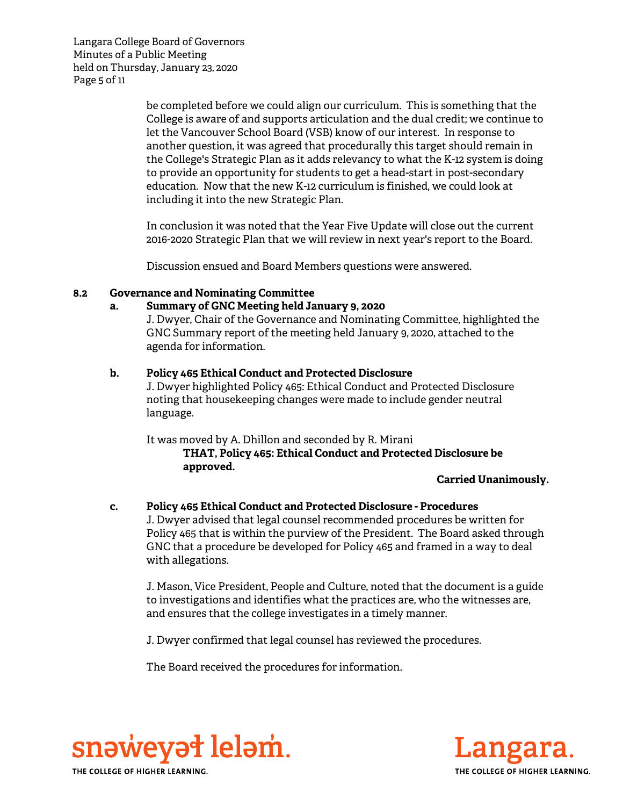Langara College Board of Governors Minutes of a Public Meeting held on Thursday, January 23, 2020 Page 5 of 11

> be completed before we could align our curriculum. This is something that the College is aware of and supports articulation and the dual credit; we continue to let the Vancouver School Board (VSB) know of our interest. In response to another question, it was agreed that procedurally this target should remain in the College's Strategic Plan as it adds relevancy to what the K-12 system is doing to provide an opportunity for students to get a head-start in post-secondary education. Now that the new K-12 curriculum is finished, we could look at including it into the new Strategic Plan.

In conclusion it was noted that the Year Five Update will close out the current 2016-2020 Strategic Plan that we will review in next year's report to the Board.

Discussion ensued and Board Members questions were answered.

### **8.2 Governance and Nominating Committee**

### **a. Summary of GNC Meeting held January 9, 2020**

J. Dwyer, Chair of the Governance and Nominating Committee, highlighted the GNC Summary report of the meeting held January 9, 2020, attached to the agenda for information.

### **b. Policy 465 Ethical Conduct and Protected Disclosure**

J. Dwyer highlighted Policy 465: Ethical Conduct and Protected Disclosure noting that housekeeping changes were made to include gender neutral language.

It was moved by A. Dhillon and seconded by R. Mirani **THAT, Policy 465: Ethical Conduct and Protected Disclosure be approved.**

#### **Carried Unanimously.**

#### **c. Policy 465 Ethical Conduct and Protected Disclosure - Procedures**

J. Dwyer advised that legal counsel recommended procedures be written for Policy 465 that is within the purview of the President. The Board asked through GNC that a procedure be developed for Policy 465 and framed in a way to deal with allegations.

J. Mason, Vice President, People and Culture, noted that the document is a guide to investigations and identifies what the practices are, who the witnesses are, and ensures that the college investigates in a timely manner.

J. Dwyer confirmed that legal counsel has reviewed the procedures.

The Board received the procedures for information.



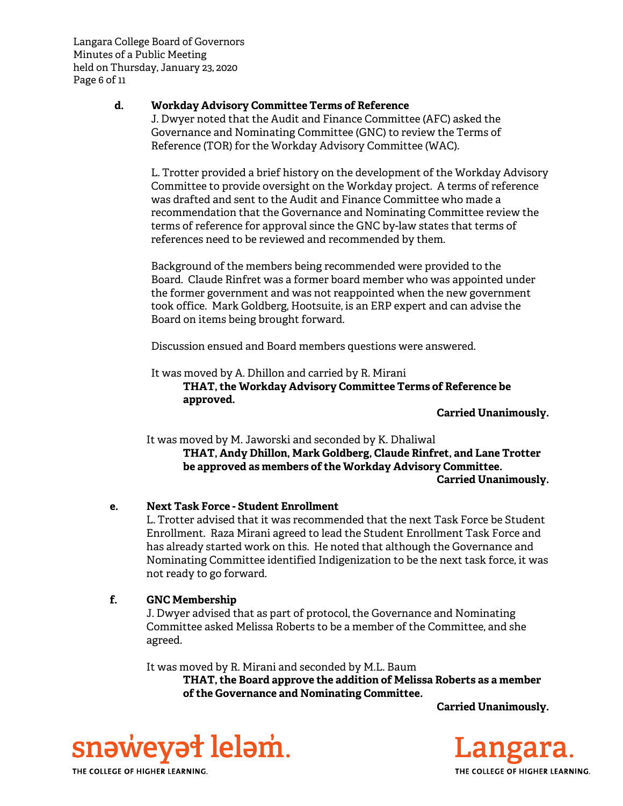Langara College Board of Governors Minutes of a Public Meeting held on Thursday, January 23, 2020 Page 6 of 11

## **d. Workday Advisory Committee Terms of Reference**

J. Dwyer noted that the Audit and Finance Committee (AFC) asked the Governance and Nominating Committee (GNC) to review the Terms of Reference (TOR) for the Workday Advisory Committee (WAC).

L. Trotter provided a brief history on the development of the Workday Advisory Committee to provide oversight on the Workday project. A terms of reference was drafted and sent to the Audit and Finance Committee who made a recommendation that the Governance and Nominating Committee review the terms of reference for approval since the GNC by-law states that terms of references need to be reviewed and recommended by them.

Background of the members being recommended were provided to the Board. Claude Rinfret was a former board member who was appointed under the former government and was not reappointed when the new government took office. Mark Goldberg, Hootsuite, is an ERP expert and can advise the Board on items being brought forward.

Discussion ensued and Board members questions were answered.

It was moved by A. Dhillon and carried by R. Mirani **THAT, the Workday Advisory Committee Terms of Reference be approved.**

**Carried Unanimously.**

It was moved by M. Jaworski and seconded by K. Dhaliwal **THAT, Andy Dhillon, Mark Goldberg, Claude Rinfret, and Lane Trotter be approved as members of the Workday Advisory Committee. Carried Unanimously.**

# **e. Next Task Force - Student Enrollment**

L. Trotter advised that it was recommended that the next Task Force be Student Enrollment. Raza Mirani agreed to lead the Student Enrollment Task Force and has already started work on this. He noted that although the Governance and Nominating Committee identified Indigenization to be the next task force, it was not ready to go forward.

# **f. GNC Membership**

J. Dwyer advised that as part of protocol, the Governance and Nominating Committee asked Melissa Roberts to be a member of the Committee, and she agreed.

It was moved by R. Mirani and seconded by M.L. Baum **THAT, the Board approve the addition of Melissa Roberts as a member of the Governance and Nominating Committee.**

**Carried Unanimously.**





THE COLLEGE OF HIGHER LEARNING.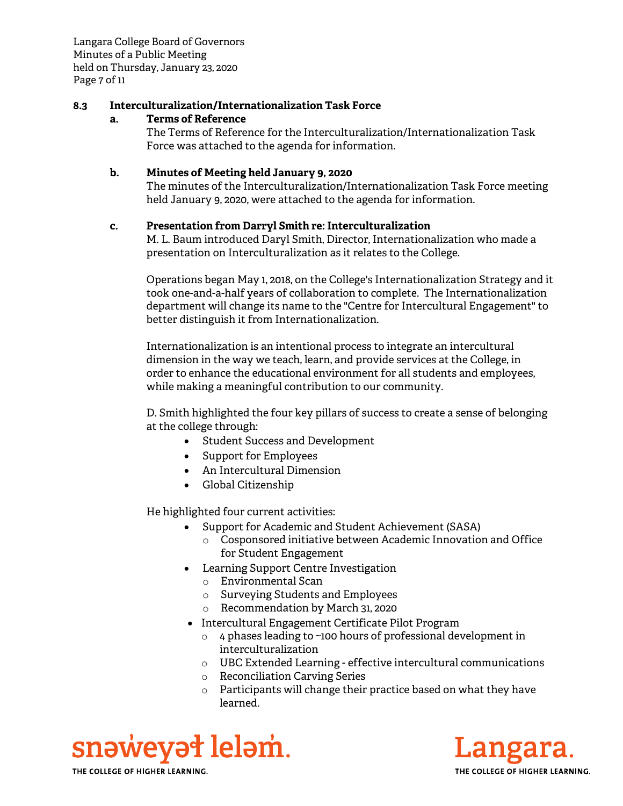Langara College Board of Governors Minutes of a Public Meeting held on Thursday, January 23, 2020 Page 7 of 11

### **8.3 Interculturalization/Internationalization Task Force**

### **a. Terms of Reference**

The Terms of Reference for the Interculturalization/Internationalization Task Force was attached to the agenda for information.

### **b. Minutes of Meeting held January 9, 2020**

The minutes of the Interculturalization/Internationalization Task Force meeting held January 9, 2020, were attached to the agenda for information.

### **c. Presentation from Darryl Smith re: Interculturalization**

M. L. Baum introduced Daryl Smith, Director, Internationalization who made a presentation on Interculturalization as it relates to the College.

Operations began May 1, 2018, on the College's Internationalization Strategy and it took one-and-a-half years of collaboration to complete. The Internationalization department will change its name to the "Centre for Intercultural Engagement" to better distinguish it from Internationalization.

Internationalization is an intentional process to integrate an intercultural dimension in the way we teach, learn, and provide services at the College, in order to enhance the educational environment for all students and employees, while making a meaningful contribution to our community.

D. Smith highlighted the four key pillars of success to create a sense of belonging at the college through:

- Student Success and Development
- Support for Employees
- An Intercultural Dimension
- Global Citizenship

He highlighted four current activities:

- Support for Academic and Student Achievement (SASA)
	- o Cosponsored initiative between Academic Innovation and Office for Student Engagement
- Learning Support Centre Investigation
	- o Environmental Scan
	- o Surveying Students and Employees
	- o Recommendation by March 31, 2020
- Intercultural Engagement Certificate Pilot Program
	- $\circ$  4 phases leading to ~100 hours of professional development in interculturalization
	- o UBC Extended Learning effective intercultural communications
	- o Reconciliation Carving Series
	- $\circ$  Participants will change their practice based on what they have learned.

snəweyət leləm. THE COLLEGE OF HIGHER LEARNING.

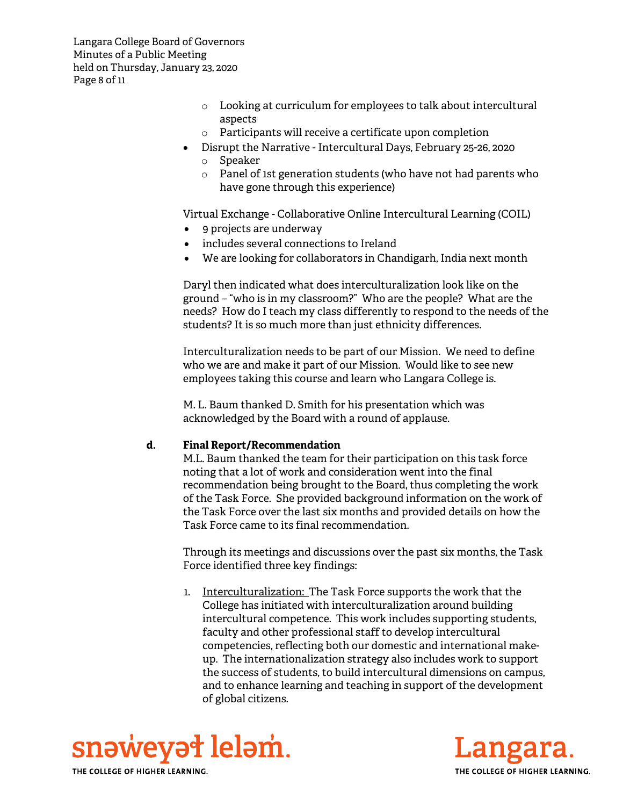Langara College Board of Governors Minutes of a Public Meeting held on Thursday, January 23, 2020 Page 8 of 11

- o Looking at curriculum for employees to talk about intercultural aspects
- o Participants will receive a certificate upon completion
- Disrupt the Narrative Intercultural Days, February 25-26, 2020 o Speaker
	- o Panel of 1st generation students (who have not had parents who have gone through this experience)

Virtual Exchange - Collaborative Online Intercultural Learning (COIL)

- 9 projects are underway
- includes several connections to Ireland
- We are looking for collaborators in Chandigarh, India next month

Daryl then indicated what does interculturalization look like on the ground – "who is in my classroom?" Who are the people? What are the needs? How do I teach my class differently to respond to the needs of the students? It is so much more than just ethnicity differences.

Interculturalization needs to be part of our Mission. We need to define who we are and make it part of our Mission. Would like to see new employees taking this course and learn who Langara College is.

M. L. Baum thanked D. Smith for his presentation which was acknowledged by the Board with a round of applause.

#### **d. Final Report/Recommendation**

M.L. Baum thanked the team for their participation on this task force noting that a lot of work and consideration went into the final recommendation being brought to the Board, thus completing the work of the Task Force. She provided background information on the work of the Task Force over the last six months and provided details on how the Task Force came to its final recommendation.

Through its meetings and discussions over the past six months, the Task Force identified three key findings:

1. Interculturalization: The Task Force supports the work that the College has initiated with interculturalization around building intercultural competence. This work includes supporting students, faculty and other professional staff to develop intercultural competencies, reflecting both our domestic and international makeup. The internationalization strategy also includes work to support the success of students, to build intercultural dimensions on campus, and to enhance learning and teaching in support of the development of global citizens.



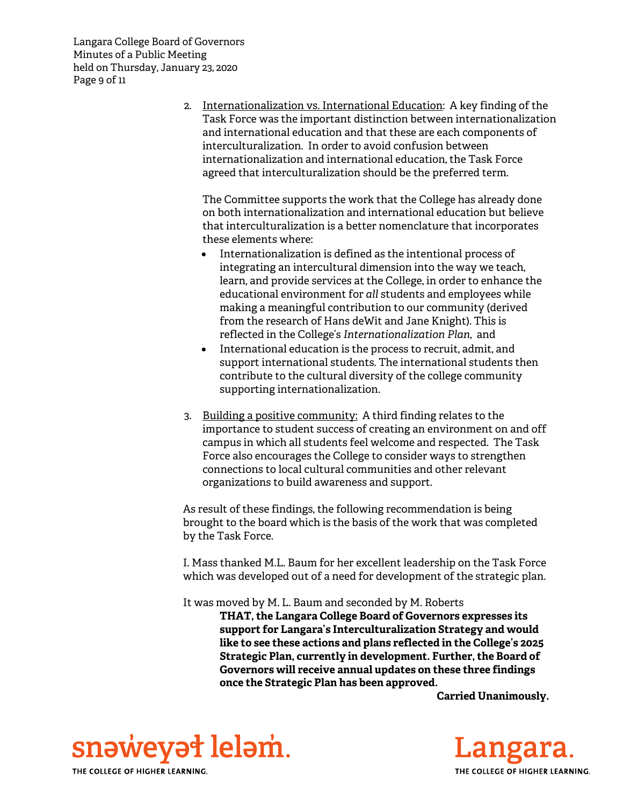Langara College Board of Governors Minutes of a Public Meeting held on Thursday, January 23, 2020 Page 9 of 11

> 2. Internationalization vs. International Education: A key finding of the Task Force was the important distinction between internationalization and international education and that these are each components of interculturalization. In order to avoid confusion between internationalization and international education, the Task Force agreed that interculturalization should be the preferred term.

The Committee supports the work that the College has already done on both internationalization and international education but believe that interculturalization is a better nomenclature that incorporates these elements where:

- Internationalization is defined as the intentional process of integrating an intercultural dimension into the way we teach, learn, and provide services at the College, in order to enhance the educational environment for *all* students and employees while making a meaningful contribution to our community (derived from the research of Hans deWit and Jane Knight). This is reflected in the College's *Internationalization Plan*, and
- International education is the process to recruit, admit, and support international students. The international students then contribute to the cultural diversity of the college community supporting internationalization.
- 3. Building a positive community: A third finding relates to the importance to student success of creating an environment on and off campus in which all students feel welcome and respected. The Task Force also encourages the College to consider ways to strengthen connections to local cultural communities and other relevant organizations to build awareness and support.

As result of these findings, the following recommendation is being brought to the board which is the basis of the work that was completed by the Task Force.

I. Mass thanked M.L. Baum for her excellent leadership on the Task Force which was developed out of a need for development of the strategic plan.

It was moved by M. L. Baum and seconded by M. Roberts **THAT, the Langara College Board of Governors expresses its support for Langara's Interculturalization Strategy and would like to see these actions and plans reflected in the College's 2025 Strategic Plan, currently in development. Further, the Board of Governors will receive annual updates on these three findings once the Strategic Plan has been approved.**

**Carried Unanimously.**



Langara. THE COLLEGE OF HIGHER LEARNING.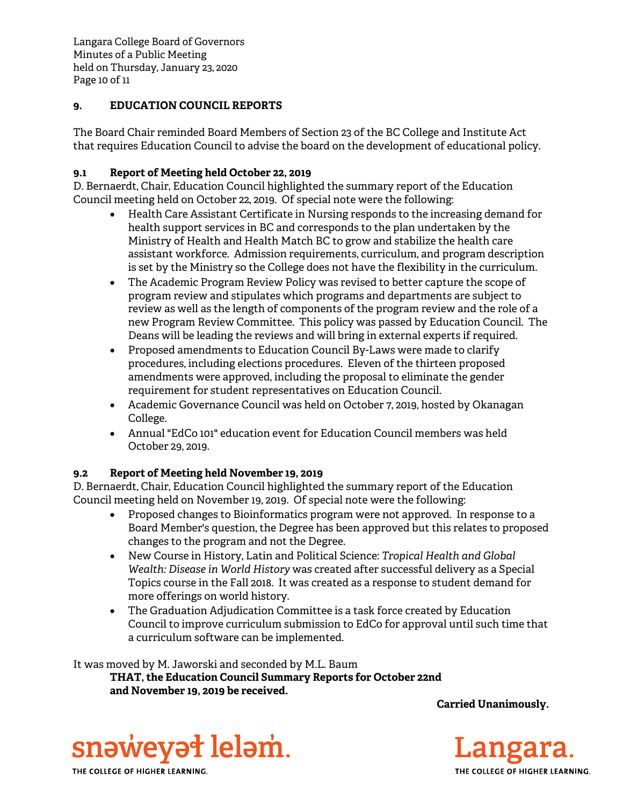Langara College Board of Governors Minutes of a Public Meeting held on Thursday, January 23, 2020 Page 10 of 11

# **9. EDUCATION COUNCIL REPORTS**

The Board Chair reminded Board Members of Section 23 of the BC College and Institute Act that requires Education Council to advise the board on the development of educational policy.

## **9.1 Report of Meeting held October 22, 2019**

D. Bernaerdt, Chair, Education Council highlighted the summary report of the Education Council meeting held on October 22, 2019. Of special note were the following:

- Health Care Assistant Certificate in Nursing responds to the increasing demand for health support services in BC and corresponds to the plan undertaken by the Ministry of Health and Health Match BC to grow and stabilize the health care assistant workforce. Admission requirements, curriculum, and program description is set by the Ministry so the College does not have the flexibility in the curriculum.
- The Academic Program Review Policy was revised to better capture the scope of program review and stipulates which programs and departments are subject to review as well as the length of components of the program review and the role of a new Program Review Committee. This policy was passed by Education Council. The Deans will be leading the reviews and will bring in external experts if required.
- Proposed amendments to Education Council By-Laws were made to clarify procedures, including elections procedures. Eleven of the thirteen proposed amendments were approved, including the proposal to eliminate the gender requirement for student representatives on Education Council.
- Academic Governance Council was held on October 7, 2019, hosted by Okanagan College.
- Annual "EdCo 101" education event for Education Council members was held October 29, 2019.

# **9.2 Report of Meeting held November 19, 2019**

D. Bernaerdt, Chair, Education Council highlighted the summary report of the Education Council meeting held on November 19, 2019. Of special note were the following:

- Proposed changes to Bioinformatics program were not approved. In response to a Board Member's question, the Degree has been approved but this relates to proposed changes to the program and not the Degree.
- New Course in History, Latin and Political Science: *Tropical Health and Global Wealth: Disease in World History* was created after successful delivery as a Special Topics course in the Fall 2018. It was created as a response to student demand for more offerings on world history.
- The Graduation Adjudication Committee is a task force created by Education Council to improve curriculum submission to EdCo for approval until such time that a curriculum software can be implemented.

It was moved by M. Jaworski and seconded by M.L. Baum **THAT, the Education Council Summary Reports for October 22nd and November 19, 2019 be received.**

 **Carried Unanimously.** 



Langara. THE COLLEGE OF HIGHER LEARNING.